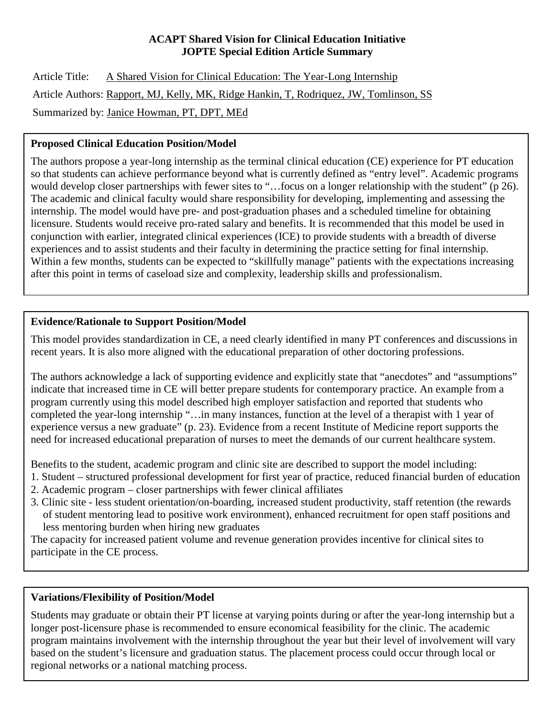#### **ACAPT Shared Vision for Clinical Education Initiative JOPTE Special Edition Article Summary**

Article Title: A Shared Vision for Clinical Education: The Year-Long Internship Article Authors: Rapport, MJ, Kelly, MK, Ridge Hankin, T, Rodriquez, JW, Tomlinson, SS Summarized by: Janice Howman, PT, DPT, MEd

# **Proposed Clinical Education Position/Model**

The authors propose a year-long internship as the terminal clinical education (CE) experience for PT education so that students can achieve performance beyond what is currently defined as "entry level". Academic programs would develop closer partnerships with fewer sites to "...focus on a longer relationship with the student" (p 26). The academic and clinical faculty would share responsibility for developing, implementing and assessing the internship. The model would have pre- and post-graduation phases and a scheduled timeline for obtaining licensure. Students would receive pro-rated salary and benefits. It is recommended that this model be used in conjunction with earlier, integrated clinical experiences (ICE) to provide students with a breadth of diverse experiences and to assist students and their faculty in determining the practice setting for final internship. Within a few months, students can be expected to "skillfully manage" patients with the expectations increasing after this point in terms of caseload size and complexity, leadership skills and professionalism.

# **Evidence/Rationale to Support Position/Model**

This model provides standardization in CE, a need clearly identified in many PT conferences and discussions in recent years. It is also more aligned with the educational preparation of other doctoring professions.

The authors acknowledge a lack of supporting evidence and explicitly state that "anecdotes" and "assumptions" indicate that increased time in CE will better prepare students for contemporary practice. An example from a program currently using this model described high employer satisfaction and reported that students who completed the year-long internship "…in many instances, function at the level of a therapist with 1 year of experience versus a new graduate" (p. 23). Evidence from a recent Institute of Medicine report supports the need for increased educational preparation of nurses to meet the demands of our current healthcare system.

Benefits to the student, academic program and clinic site are described to support the model including:

- 1. Student structured professional development for first year of practice, reduced financial burden of education
- 2. Academic program closer partnerships with fewer clinical affiliates
- 3. Clinic site less student orientation/on-boarding, increased student productivity, staff retention (the rewards of student mentoring lead to positive work environment), enhanced recruitment for open staff positions and less mentoring burden when hiring new graduates

The capacity for increased patient volume and revenue generation provides incentive for clinical sites to participate in the CE process.

## **Variations/Flexibility of Position/Model**

Students may graduate or obtain their PT license at varying points during or after the year-long internship but a longer post-licensure phase is recommended to ensure economical feasibility for the clinic. The academic program maintains involvement with the internship throughout the year but their level of involvement will vary based on the student's licensure and graduation status. The placement process could occur through local or regional networks or a national matching process.